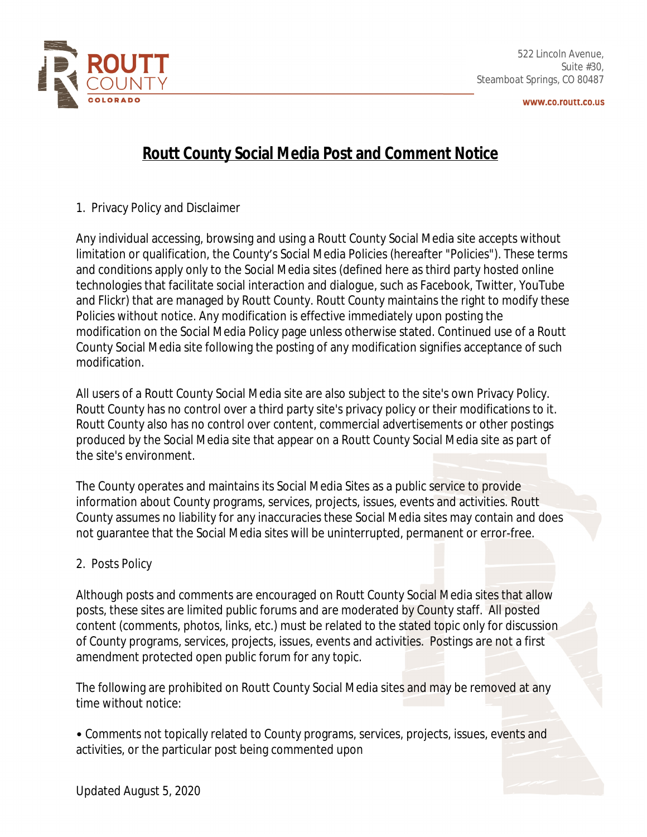

www.co.routt.co.us

## **Routt County Social Media Post and Comment Notice**

1. Privacy Policy and Disclaimer

Any individual accessing, browsing and using a Routt County Social Media site accepts without limitation or qualification, the County's Social Media Policies (hereafter "Policies"). These terms and conditions apply only to the Social Media sites (defined here as third party hosted online technologies that facilitate social interaction and dialogue, such as Facebook, Twitter, YouTube and Flickr) that are managed by Routt County. Routt County maintains the right to modify these Policies without notice. Any modification is effective immediately upon posting the modification on the Social Media Policy page unless otherwise stated. Continued use of a Routt County Social Media site following the posting of any modification signifies acceptance of such modification.

All users of a Routt County Social Media site are also subject to the site's own Privacy Policy. Routt County has no control over a third party site's privacy policy or their modifications to it. Routt County also has no control over content, commercial advertisements or other postings produced by the Social Media site that appear on a Routt County Social Media site as part of the site's environment.

The County operates and maintains its Social Media Sites as a public service to provide information about County programs, services, projects, issues, events and activities. Routt County assumes no liability for any inaccuracies these Social Media sites may contain and does not guarantee that the Social Media sites will be uninterrupted, permanent or error-free.

## 2. Posts Policy

Although posts and comments are encouraged on Routt County Social Media sites that allow posts, these sites are limited public forums and are moderated by County staff. All posted content (comments, photos, links, etc.) must be related to the stated topic only for discussion of County programs, services, projects, issues, events and activities. Postings are not a first amendment protected open public forum for any topic.

The following are prohibited on Routt County Social Media sites and may be removed at any time without notice:

• Comments not topically related to County programs, services, projects, issues, events and activities, or the particular post being commented upon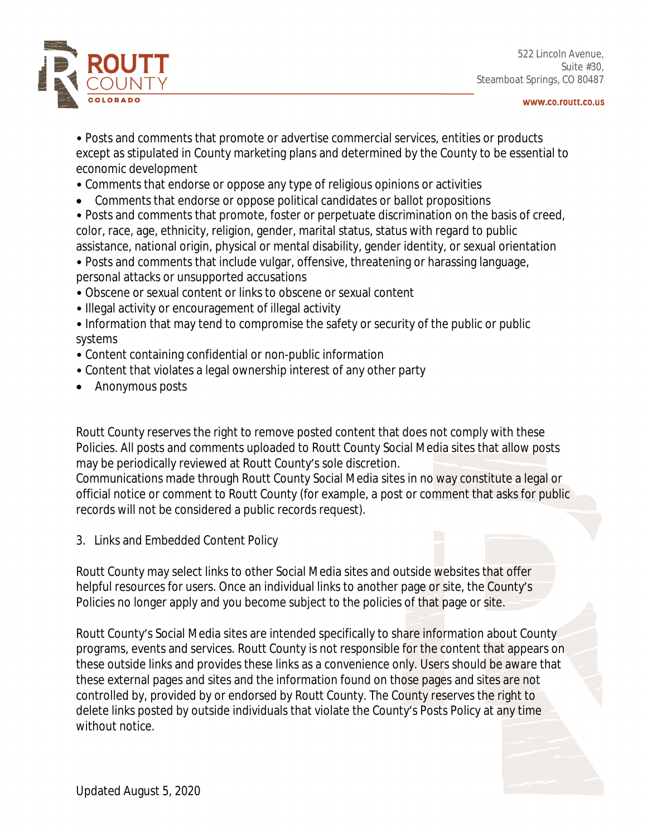

522 Lincoln Avenue, Suite #30, Steamboat Springs, CO 80487

www.co.routt.co.us

- Posts and comments that promote or advertise commercial services, entities or products except as stipulated in County marketing plans and determined by the County to be essential to economic development
- Comments that endorse or oppose any type of religious opinions or activities
- Comments that endorse or oppose political candidates or ballot propositions
- Posts and comments that promote, foster or perpetuate discrimination on the basis of creed, color, race, age, ethnicity, religion, gender, marital status, status with regard to public assistance, national origin, physical or mental disability, gender identity, or sexual orientation
- Posts and comments that include vulgar, offensive, threatening or harassing language,
- personal attacks or unsupported accusations
- Obscene or sexual content or links to obscene or sexual content
- Illegal activity or encouragement of illegal activity
- Information that may tend to compromise the safety or security of the public or public systems
- Content containing confidential or non-public information
- Content that violates a legal ownership interest of any other party
- Anonymous posts

Routt County reserves the right to remove posted content that does not comply with these Policies. All posts and comments uploaded to Routt County Social Media sites that allow posts may be periodically reviewed at Routt County's sole discretion.

Communications made through Routt County Social Media sites in no way constitute a legal or official notice or comment to Routt County (for example, a post or comment that asks for public records will not be considered a public records request).

3. Links and Embedded Content Policy

Routt County may select links to other Social Media sites and outside websites that offer helpful resources for users. Once an individual links to another page or site, the County's Policies no longer apply and you become subject to the policies of that page or site.

Routt County's Social Media sites are intended specifically to share information about County programs, events and services. Routt County is not responsible for the content that appears on these outside links and provides these links as a convenience only. Users should be aware that these external pages and sites and the information found on those pages and sites are not controlled by, provided by or endorsed by Routt County. The County reserves the right to delete links posted by outside individuals that violate the County's Posts Policy at any time without notice.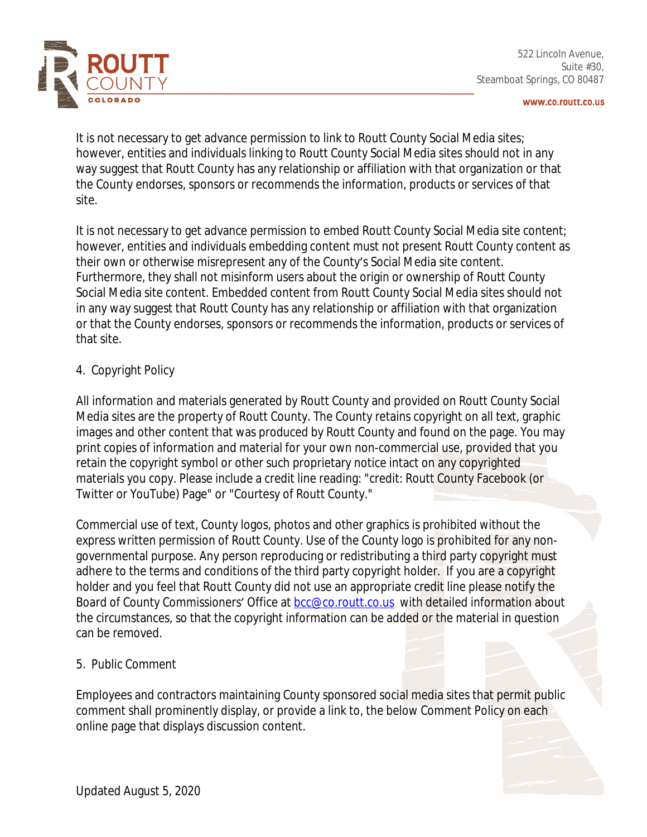

www.co.routt.co.us

It is not necessary to get advance permission to link to Routt County Social Media sites; however, entities and individuals linking to Routt County Social Media sites should not in any way suggest that Routt County has any relationship or affiliation with that organization or that the County endorses, sponsors or recommends the information, products or services of that site.

It is not necessary to get advance permission to embed Routt County Social Media site content; however, entities and individuals embedding content must not present Routt County content as their own or otherwise misrepresent any of the County's Social Media site content. Furthermore, they shall not misinform users about the origin or ownership of Routt County Social Media site content. Embedded content from Routt County Social Media sites should not in any way suggest that Routt County has any relationship or affiliation with that organization or that the County endorses, sponsors or recommends the information, products or services of that site.

## 4. Copyright Policy

All information and materials generated by Routt County and provided on Routt County Social Media sites are the property of Routt County. The County retains copyright on all text, graphic images and other content that was produced by Routt County and found on the page. You may print copies of information and material for your own non-commercial use, provided that you retain the copyright symbol or other such proprietary notice intact on any copyrighted materials you copy. Please include a credit line reading: "credit: Routt County Facebook (or Twitter or YouTube) Page" or "Courtesy of Routt County."

Commercial use of text, County logos, photos and other graphics is prohibited without the express written permission of Routt County. Use of the County logo is prohibited for any nongovernmental purpose. Any person reproducing or redistributing a third party copyright must adhere to the terms and conditions of the third party copyright holder. If you are a copyright holder and you feel that Routt County did not use an appropriate credit line please notify the Board of County Commissioners' Office at **bcc@co.routt.co.us** with detailed information about the circumstances, so that the copyright information can be added or the material in question can be removed.

## 5. Public Comment

Employees and contractors maintaining County sponsored social media sites that permit public comment shall prominently display, or provide a link to, the below Comment Policy on each online page that displays discussion content.